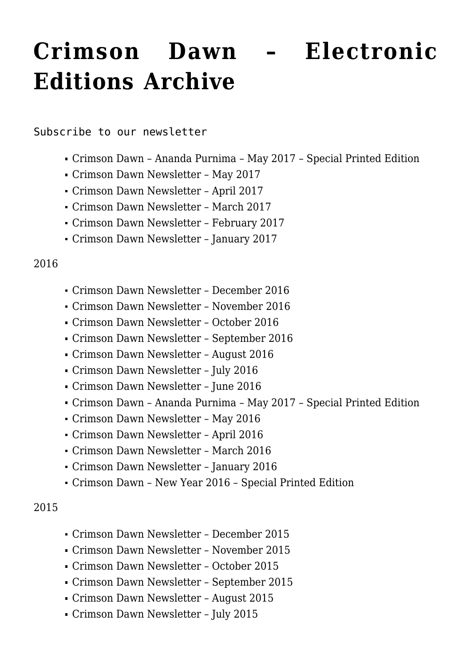# **[Crimson Dawn – Electronic](https://crimsondawn.net/portfolio/crimson-dawn-electronic-editions-archive/) [Editions Archive](https://crimsondawn.net/portfolio/crimson-dawn-electronic-editions-archive/)**

[Subscribe to our newsletter](http://eepurl.com/fqC0Y)

- [Crimson Dawn Ananda Purnima May 2017 Special Printed Edition](http://www.lulu.com/shop/ananda-marga-publications/crimson-dawn-ananda-purnima-2017/paperback/product-23188951.html)
- [Crimson Dawn Newsletter May 2017](http://mailchi.mp/5e7a79034745/8qt35v0ton)
- [Crimson Dawn Newsletter April 2017](http://eepurl.com/cKpf3L)
- [Crimson Dawn Newsletter March 2017](http://eepurl.com/cGsBg9)
- [Crimson Dawn Newsletter February 2017](http://eepurl.com/cDzLQX)
- [Crimson Dawn Newsletter January 2017](http://eepurl.com/cAy8K5)

#### 2016

- [Crimson Dawn Newsletter December 2016](http://eepurl.com/ctR9sT)
- [Crimson Dawn Newsletter November 2016](http://eepurl.com/cpjkL9)
- [Crimson Dawn Newsletter October 2016](http://eepurl.com/cjF6X5)
- [Crimson Dawn Newsletter September 2016](http://eepurl.com/cf_Syr)
- [Crimson Dawn Newsletter August 2016](http://eepurl.com/cbMQBX)
- [Crimson Dawn Newsletter July 2016](http://eepurl.com/b_vJET)
- [Crimson Dawn Newsletter June 2016](http://eepurl.com/b6jw8j)
- [Crimson Dawn Ananda Purnima May 2017 Special Printed Edition](http://www.lulu.com/shop/ananda-marga-publications/crimson-dawn-ananda-purnima-may-2016/paperback/product-23190313.html)
- [Crimson Dawn Newsletter May 2016](http://eepurl.com/b1O3aj)
- [Crimson Dawn Newsletter April 2016](http://eepurl.com/bYDsoL)
- [Crimson Dawn Newsletter March 2016](http://eepurl.com/bUqlTv)
- [Crimson Dawn Newsletter January 2016](http://eepurl.com/bM4_Cb)
- [Crimson Dawn New Year 2016 Special Printed Edition](http://www.lulu.com/shop/ananda-marga-publications/crimson-dawn-new-year-2016/paperback/product-22596904.html)

#### 2015

- [Crimson Dawn Newsletter December 2015](http://eepurl.com/bJVIUH)
- [Crimson Dawn Newsletter November 2015](http://eepurl.com/bGMVqL)
- [Crimson Dawn Newsletter October 2015](http://eepurl.com/bCYLJz)
- [Crimson Dawn Newsletter September 2015](http://eepurl.com/byZg5P)
- [Crimson Dawn Newsletter August 2015](http://eepurl.com/bv_hdP)
- [Crimson Dawn Newsletter July 2015](http://us2.campaign-archive1.com/?u=5b2c27644e6d58eb4fffe89b1&id=dca86b30a3)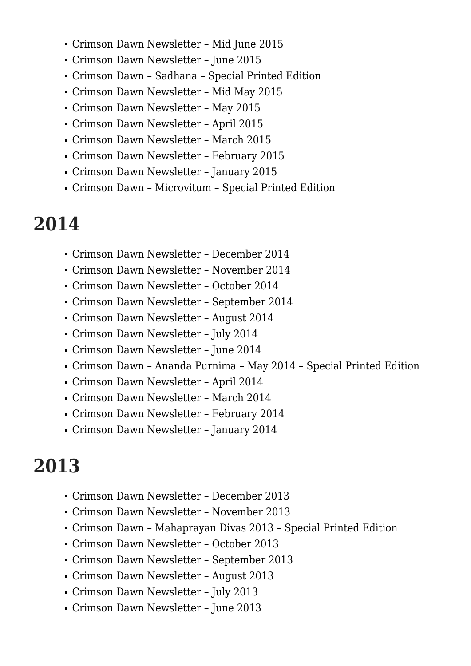- [Crimson Dawn Newsletter Mid June 2015](http://us2.campaign-archive2.com/?u=5b2c27644e6d58eb4fffe89b1&id=5d80efd1fc)
- [Crimson Dawn Newsletter June 2015](http://us2.campaign-archive2.com/?u=5b2c27644e6d58eb4fffe89b1&id=3fbb322d7c)
- [Crimson Dawn Sadhana Special Printed Edition](http://www.lulu.com/shop/ananda-marga-publication/crimson-dawn-sadhana-bw/paperback/product-22060348.html)
- [Crimson Dawn Newsletter Mid May 2015](http://us2.campaign-archive2.com/?u=5b2c27644e6d58eb4fffe89b1&id=febc5d340f)
- [Crimson Dawn Newsletter May 2015](http://us2.campaign-archive2.com/?u=5b2c27644e6d58eb4fffe89b1&id=858dff1a75)
- [Crimson Dawn Newsletter April 2015](http://us2.campaign-archive1.com/?u=5b2c27644e6d58eb4fffe89b1&id=54442e50fb)
- [Crimson Dawn Newsletter March 2015](http://us2.campaign-archive1.com/?u=5b2c27644e6d58eb4fffe89b1&id=19f871d10e)
- [Crimson Dawn Newsletter February 2015](http://us2.campaign-archive2.com/?u=5b2c27644e6d58eb4fffe89b1&id=0ab7892f8f)
- [Crimson Dawn Newsletter January 2015](http://us2.campaign-archive2.com/?u=5b2c27644e6d58eb4fffe89b1&id=1b0db0fcc5)
- [Crimson Dawn Microvitum Special Printed Edition](http://www.lulu.com/shop/ananda-marga-publication/crimson-dawn-microvitum/paperback/product-23181422.html)

### **2014**

- [Crimson Dawn Newsletter December 2014](http://us2.campaign-archive2.com/?u=5b2c27644e6d58eb4fffe89b1&id=75023b6732)
- [Crimson Dawn Newsletter November 2014](http://us2.campaign-archive2.com/?u=5b2c27644e6d58eb4fffe89b1&id=496373b395)
- [Crimson Dawn Newsletter October 2014](http://us2.campaign-archive1.com/?u=5b2c27644e6d58eb4fffe89b1&id=46abd44261)
- [Crimson Dawn Newsletter September 2014](http://us2.campaign-archive1.com/?u=5b2c27644e6d58eb4fffe89b1&id=022de09534)
- [Crimson Dawn Newsletter August 2014](http://us2.campaign-archive1.com/?u=5b2c27644e6d58eb4fffe89b1&id=ee16e1bb37)
- [Crimson Dawn Newsletter July 2014](http://us2.campaign-archive1.com/?u=5b2c27644e6d58eb4fffe89b1&id=cce3b17614)
- [Crimson Dawn Newsletter June 2014](http://us2.campaign-archive2.com/?u=5b2c27644e6d58eb4fffe89b1&id=f10ad88a04)
- [Crimson Dawn Ananda Purnima May 2014 Special Printed Edition](http://www.lulu.com/shop/ananda-marga-publications/crimson-dawn-may-2014-babas-birthday-bw/paperback/product-21620880.html)
- [Crimson Dawn Newsletter April 2014](http://us2.campaign-archive1.com/?u=5b2c27644e6d58eb4fffe89b1&id=3c0fe1a487)
- [Crimson Dawn Newsletter March 2014](http://us2.campaign-archive2.com/?u=5b2c27644e6d58eb4fffe89b1&id=abdcb675d4)
- [Crimson Dawn Newsletter February 2014](http://us2.campaign-archive1.com/?u=5b2c27644e6d58eb4fffe89b1&id=f23a5f4e79)
- [Crimson Dawn Newsletter January 2014](http://us2.campaign-archive2.com/?u=5b2c27644e6d58eb4fffe89b1&id=60039f491b)

# **2013**

- [Crimson Dawn Newsletter December 2013](http://us2.campaign-archive2.com/?u=5b2c27644e6d58eb4fffe89b1&id=1eb3961129)
- [Crimson Dawn Newsletter November 2013](http://us2.campaign-archive2.com/?u=5b2c27644e6d58eb4fffe89b1&id=0bdaf7b07e)
- [Crimson Dawn Mahaprayan Divas 2013 Special Printed Edition](http://www.lulu.com/shop/ananda-marga-publications/crimson-dawn-mahaprayan-2013/paperback/product-23190270.html)
- [Crimson Dawn Newsletter October 2013](http://us2.campaign-archive2.com/?u=5b2c27644e6d58eb4fffe89b1&id=c2388609ee)
- [Crimson Dawn Newsletter September 2013](http://us2.campaign-archive2.com/?u=5b2c27644e6d58eb4fffe89b1&id=9eac279c18)
- [Crimson Dawn Newsletter August 2013](http://us2.campaign-archive1.com/?u=5b2c27644e6d58eb4fffe89b1&id=547f77cad8)
- [Crimson Dawn Newsletter July 2013](http://us2.campaign-archive1.com/?u=5b2c27644e6d58eb4fffe89b1&id=857810e4bc)
- [Crimson Dawn Newsletter June 2013](http://us2.campaign-archive1.com/?u=5b2c27644e6d58eb4fffe89b1&id=640a2ca374)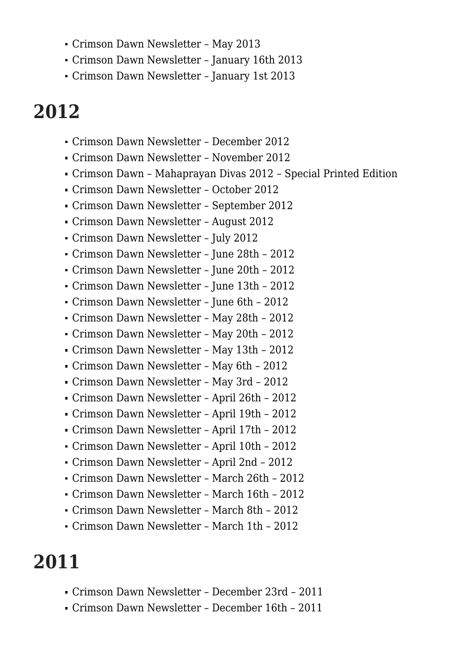- [Crimson Dawn Newsletter May 2013](http://us2.campaign-archive2.com/?u=5b2c27644e6d58eb4fffe89b1&id=6b41454e91)
- [Crimson Dawn Newsletter January 16th 2013](http://us2.campaign-archive1.com/?u=5b2c27644e6d58eb4fffe89b1&id=0a1de8171c)
- [Crimson Dawn Newsletter January 1st 2013](http://us2.campaign-archive2.com/?u=5b2c27644e6d58eb4fffe89b1&id=71b58a9443)

## **2012**

- [Crimson Dawn Newsletter December 2012](http://us2.campaign-archive1.com/?u=5b2c27644e6d58eb4fffe89b1&id=90501a44f2)
- [Crimson Dawn Newsletter November 2012](http://us2.campaign-archive1.com/?u=5b2c27644e6d58eb4fffe89b1&id=106236bd1b)
- [Crimson Dawn Mahaprayan Divas 2012 Special Printed Edition](http://www.lulu.com/shop/ananda-marga-publications/crimson-dawn-mahaprayan-2012/paperback/product-23190191.html)
- [Crimson Dawn Newsletter October 2012](http://us2.campaign-archive1.com/?u=5b2c27644e6d58eb4fffe89b1&id=54555773ad)
- [Crimson Dawn Newsletter September 2012](http://us2.campaign-archive2.com/?u=5b2c27644e6d58eb4fffe89b1&id=746f1f6973)
- [Crimson Dawn Newsletter August 2012](http://us2.campaign-archive2.com/?u=5b2c27644e6d58eb4fffe89b1&id=435605bf3c)
- [Crimson Dawn Newsletter July 2012](http://us2.campaign-archive1.com/?u=5b2c27644e6d58eb4fffe89b1&id=daf74c8765)
- [Crimson Dawn Newsletter June 28th 2012](http://us2.campaign-archive1.com/?u=5b2c27644e6d58eb4fffe89b1&id=3a8713d586)
- [Crimson Dawn Newsletter June 20th 2012](http://us2.campaign-archive1.com/?u=5b2c27644e6d58eb4fffe89b1&id=ffaae4bfd6)
- [Crimson Dawn Newsletter June 13th 2012](http://us2.campaign-archive2.com/?u=5b2c27644e6d58eb4fffe89b1&id=afb08f5462)
- [Crimson Dawn Newsletter June 6th 2012](http://us2.campaign-archive2.com/?u=5b2c27644e6d58eb4fffe89b1&id=2962f00978)
- [Crimson Dawn Newsletter May 28th 2012](http://us2.campaign-archive1.com/?u=5b2c27644e6d58eb4fffe89b1&id=3d2249ed09)
- [Crimson Dawn Newsletter May 20th 2012](http://us2.campaign-archive1.com/?u=5b2c27644e6d58eb4fffe89b1&id=c2e8acb2b0)
- [Crimson Dawn Newsletter May 13th 2012](http://us2.campaign-archive1.com/?u=5b2c27644e6d58eb4fffe89b1&id=a9b5d78bc8)
- [Crimson Dawn Newsletter May 6th 2012](http://us2.campaign-archive1.com/?u=5b2c27644e6d58eb4fffe89b1&id=e2a058c9cd)
- [Crimson Dawn Newsletter May 3rd 2012](http://us2.campaign-archive1.com/?u=5b2c27644e6d58eb4fffe89b1&id=3083c912e3)
- [Crimson Dawn Newsletter April 26th 2012](http://us2.campaign-archive1.com/?u=5b2c27644e6d58eb4fffe89b1&id=999bb8d82d)
- [Crimson Dawn Newsletter April 19th 2012](http://us2.campaign-archive2.com/?u=5b2c27644e6d58eb4fffe89b1&id=4cc5c8b7be)
- [Crimson Dawn Newsletter April 17th 2012](http://us2.campaign-archive1.com/?u=5b2c27644e6d58eb4fffe89b1&id=46e233f1ae)
- [Crimson Dawn Newsletter April 10th 2012](http://us2.campaign-archive2.com/?u=5b2c27644e6d58eb4fffe89b1&id=b98b958e35)
- [Crimson Dawn Newsletter April 2nd 2012](http://us2.campaign-archive2.com/?u=5b2c27644e6d58eb4fffe89b1&id=6f15cef22c)
- [Crimson Dawn Newsletter March 26th 2012](http://us2.campaign-archive2.com/?u=5b2c27644e6d58eb4fffe89b1&id=879af71b18)
- [Crimson Dawn Newsletter March 16th 2012](http://us2.campaign-archive1.com/?u=5b2c27644e6d58eb4fffe89b1&id=50e15b7a68)
- [Crimson Dawn Newsletter March 8th 2012](http://us2.campaign-archive1.com/?u=5b2c27644e6d58eb4fffe89b1&id=cf13378962)
- [Crimson Dawn Newsletter March 1th 2012](http://us2.campaign-archive2.com/?u=5b2c27644e6d58eb4fffe89b1&id=5674823ab7)

### **2011**

- [Crimson Dawn Newsletter December 23rd 2011](http://us2.campaign-archive1.com/?u=5b2c27644e6d58eb4fffe89b1&id=7238fa1a5d)
- [Crimson Dawn Newsletter December 16th 2011](http://us2.campaign-archive2.com/?u=5b2c27644e6d58eb4fffe89b1&id=d693a864f5)